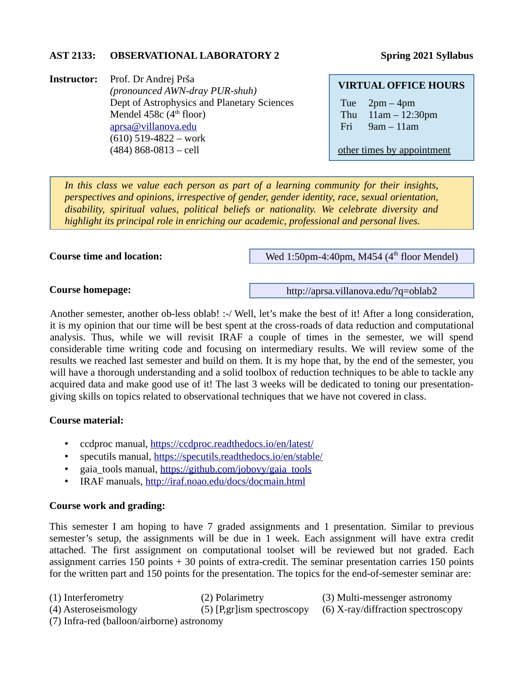# **AST 2133: OBSERVATIONAL LABORATORY 2 Spring 2021 Syllabus**

**Instructor:** Prof. Dr Andrej Prša *(pronounced AWN-dray PUR-shuh)* Dept of Astrophysics and Planetary Sciences Mendel 458 $c$  (4<sup>th</sup> floor) [aprsa@villanova.edu](mailto:aprsa@villanova.edu) (610) 519-4822 – work (484) 868-0813 – cell

#### **VIRTUAL OFFICE HOURS**

Tue 2pm – 4pm Thu 11am – 12:30pm Fri 9am – 11am

other times by appointment

*In this class we value each person as part of a learning community for their insights, perspectives and opinions, irrespective of gender, gender identity, race, sexual orientation, disability, spiritual values, political beliefs or nationality. We celebrate diversity and highlight its principal role in enriching our academic, professional and personal lives.*

#### **Course time and location:**

Wed 1:50pm-4:40pm, M454 ( $4<sup>th</sup>$  floor Mendel)

#### **Course homepage:**

http://aprsa.villanova.edu/?q=oblab2

Another semester, another ob-less oblab! :-/ Well, let's make the best of it! After a long consideration, it is my opinion that our time will be best spent at the cross-roads of data reduction and computational analysis. Thus, while we will revisit IRAF a couple of times in the semester, we will spend considerable time writing code and focusing on intermediary results. We will review some of the results we reached last semester and build on them. It is my hope that, by the end of the semester, you will have a thorough understanding and a solid toolbox of reduction techniques to be able to tackle any acquired data and make good use of it! The last 3 weeks will be dedicated to toning our presentationgiving skills on topics related to observational techniques that we have not covered in class.

## **Course material:**

- ccdproc manual, <https://ccdproc.readthedocs.io/en/latest/>
- specutils manual, <https://specutils.readthedocs.io/en/stable/>
- gaia\_tools manual, [https://github.com/jobovy/gaia\\_tools](https://github.com/jobovy/gaia_tools)
- IRAF manuals,<http://iraf.noao.edu/docs/docmain.html>

## **Course work and grading:**

This semester I am hoping to have 7 graded assignments and 1 presentation. Similar to previous semester's setup, the assignments will be due in 1 week. Each assignment will have extra credit attached. The first assignment on computational toolset will be reviewed but not graded. Each assignment carries 150 points + 30 points of extra-credit. The seminar presentation carries 150 points for the written part and 150 points for the presentation. The topics for the end-of-semester seminar are:

- 
- (1) Interferometry (2) Polarimetry (3) Multi-messenger astronomy
- (4) Asteroseismology (5) [P,gr]ism spectroscopy (6) X-ray/diffraction spectroscopy
- (7) Infra-red (balloon/airborne) astronomy